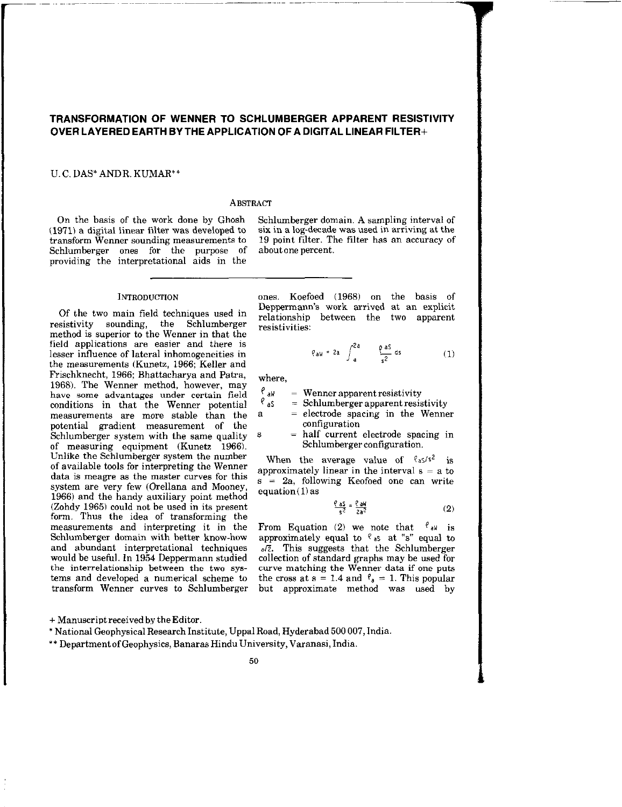# TRANSFORMATION OF WENNER TO SCHLUMSERGER APPARENT RESISTIVITY OVER LAYERED EARTH BY THE APPLICATION OF A DIGITAL LINEAR FILTER+

# U. C. DAS" AND R. KUMAR\*\*

## **ABSTRACT**

(1971) a digital linear filter was developed to six in a log-decade was used in arriving at the transform Wenner sounding measurements to 19 point filter. The filter has an accuracy of Schlumberger ones for the purpose of aboutone percent. providing the interpretational aids in the

On the basis of the work done by Ghosh Schlumberger domain. A sampling interval of

Of the two main field techniques used in resistivity sounding, the Schlumberger resistivities: method is superior to the Werner in that the field applications are easier and there is lesser influence of lateral inhomogeneities in the measurements (Kunetz, 1966; Keller and Frischknecht, 1966; Bhattacharya and Patra, 1968). The Wenner method, however, may have some advantages under certain field  $\begin{matrix} \rho_{ab} \\ \rho_{ab} \end{matrix}$  = Wenner apparent resistivity<br>conditions in that the Wenner potential  $\begin{matrix} \rho_{ab} \\ \rho_{ab} \end{matrix}$  = Schlumberger apparent resistivity conditions in that the Wenner potential measurements are more stable than the  $a$  = electrode spacing in the Wenner potential gradient measurement of the configuration Schlumberger system with the same quality  $s =$  half current electrode spacing in of measuring equipment (Kunetz 1966). Schlumbergerconfiguration. Unlike the Schlumberger system the number Unlike the schiumberger system the number<br>of available tools for interpreting the Wenner approximately linear in the interval  $\epsilon = \epsilon$  is or available tools for interpreting the wenner<br>data is meagre as the master curves for this  $a = 2e$  following. Kashed are seen with s = 2a, following Keofoed one can write system are very few (Orellana and Mooney, equation(1) as 1966) and the handy auxiliary point method (Zohdy 1965) could not be used in its present form. Thus the idea of transforming the measurements and interpreting it in the Schlumberger domain with better know-how and abundant interpretational techniques would be useful. In 1954 Deppermann studied the interrelationship between the two systems and developed a numerical scheme to transform Wenner curves to Schlumberger

INTRODUCTION ones. Koefoed (1968) on the basis of Deppermann's work arrived at an explicit relationship between the two apparent

$$
\varrho_{aW} = 2a \int_{a}^{2a} \frac{\rho_{aS}}{s^2} \, ds \tag{1}
$$

where '

- 
- 
- 
- 

$$
\frac{\rho \text{ as}}{\text{s}^2} = \frac{\rho \text{ aW}}{2\text{a}^2} \tag{2}
$$

From Equation (2) we note that  $e_{w}$  is approximately equal to  $\ell$  as at "s" equal to  $a\overline{z}$ . This suggests that the Schlumberger collection of standard graphs may be used for curve matching the Wenner data if one puts the cross at s = 1.4 and  $\ell_a = 1$ . This popular but approximate method was used by

+ Manuscript received by the Editor.

\* National Geophysical Research Institute, Uppal Road, Hyderabad 500 007, India.

\* \* Department of Geophysics, Banaras Hindu University, Varanasi, India.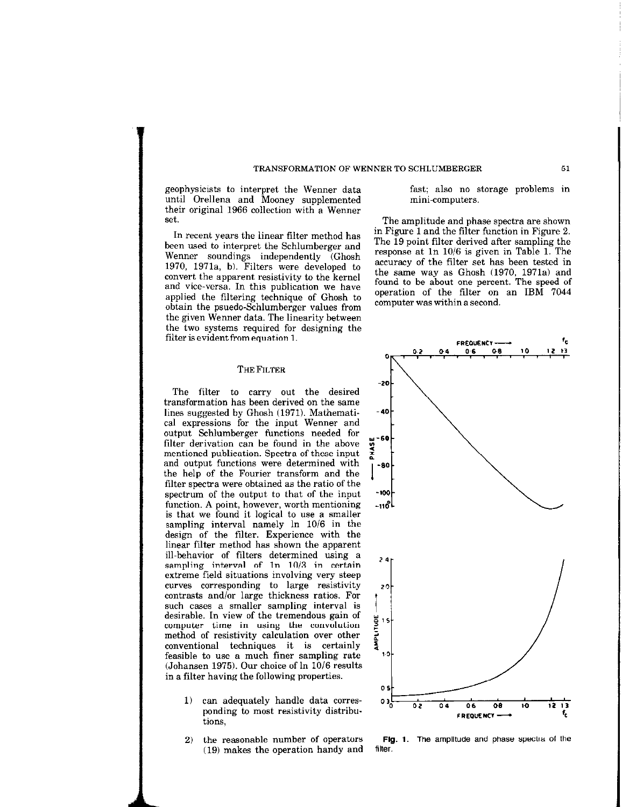#### TRANSFORMATION OF WENNER TO SCHLUMBERGER 51

geophysicists to interpret the Wenner data fast; also no storage problems in until Orellena and Mooney supplemented mini-computers. their original 1966 collection with a Wenner

Wenner soundings independently (Ghosh applied the filtering technique of Ghosh to operation of the filter on  $\frac{1}{\text{R}}$  computer was within a second. obtain the psuedo-Schlumberger values from the given Wenner data. The linearity between the two systems required for designing the  $f$ ilter is evident from equation 1.

### THE FILTER

The filter to carry out the desired transformation has been derived on the same lines suggested by Ghosh (1971). Mathematical expressions for the input Wenner and output Schlumberger functions needed for  $\frac{1}{2}$ -60<sup>-60</sup> differ derivation can be found in the above  $\frac{1}{2}$ mentioned publication. Spectra of these input and output functions were determined with the help of the Fourier transform and the filter spectra were obtained as the ratio of the spectrum of the output to that of the input  $-100$ function. A point, however, worth mentioning  $-10^{-8}$ is that we found it logical to use a smaller sampling interval namely  $\ln 10/6$  in the design of the filter. Experience with the linear filter method has shown the apparent ill-behavior of filters determined using a sampling interval of 1n 10/3 in certain extreme field situations involving very steep curves corresponding to large resistivity  $\overline{z}$ contrasts and/or large thickness ratios. For such cases a smaller sampling interval is desirable. In view of the tremendous gain of<br>computer time in using the convolution  $\frac{1}{2}$ <br>mathed of positivity columbrium curvation. computer time in using the convolution < method of resistivity calculation over other conventional techniques it is certainly feasible to use a much finer sampling rate  $+3$ (Johansen 1975). Our choice of  $\ln 10/6$  results in a filter having the following properties.

- 1) can adequately handle data corres-  $0.3\overline{0.02}$   $0.4\overline{0.6}$   $0.06\overline{0.08}$ ponding to most resistivity distribu-<br>
FREQUENCY --
- (19) makes the operation handy and filter.

set. The amplitude and phase spectra are shown In recent years the linear filter method has in Figure 1 and the filter function in Figure 2.<br>The 19 point filter derived after sampling the<br>son used to intermed the Seblumberges and been used to interpret the Schlumberger and The 19 point filter derived after sampling the<br>Wonner samplings independently (Check response at 1n 10/6 is given in Table 1. The 1970, 1971a, b). Filters were developed to accuracy of the filter set has been tested in the same way as Ghosh (1970, 1971a) and convert the apparent resistivity to the kernel the same way as Ghosh (1970, 1971a) and  $\frac{1}{2}$  cond vice way as  $\frac{1}{2}$  and  $\frac{1}{2}$  and  $\frac{1}{2}$  and  $\frac{1}{2}$  and  $\frac{1}{2}$  and  $\frac{1}{2}$  and  $\frac{1}{2}$  and  $\frac{1}{2}$ and vice-versa. In this publication we have  $\frac{100 \text{ m/s}}{200 \text{ rad/s}}$  operation of the filter on an IBM 7044



2) the reasonable number of operators Fig. 1. The amplitude and phase spectra of the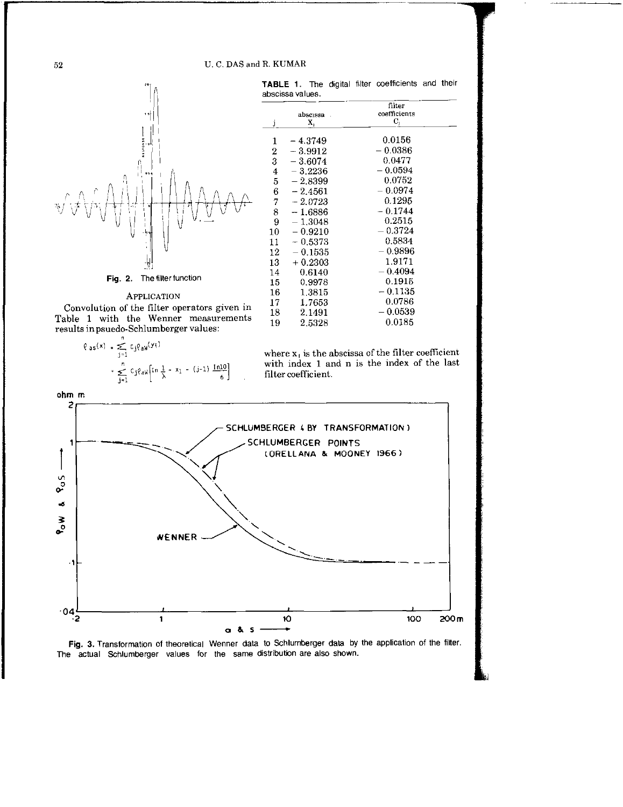abscissa values.

 $^{\rm 3}$ 



|                | abscissa      | coefficients                       |
|----------------|---------------|------------------------------------|
| j              | $X_{1}$       | C,                                 |
|                |               |                                    |
| 1              | - 4.3749      | 0.0156                             |
| $\overline{2}$ | $-3.9912$     | $\,$ $ 0.0386$                     |
| 3              | $-\,3.6074$   | 0.0477                             |
| 4              | $-3.2236$     | $-0.0594$                          |
| 5              | $-2.8399$     | 0.0752                             |
| 6              | - 2.4561      | $=0.0974$                          |
| 7              | $-2.0723$     | 0.1295                             |
| 8              | $-1.6886$     | $-0.1744$                          |
| 9              | $- \, 1.3048$ | 0.2515                             |
| $\overline{0}$ | $-0.9210$     | $\, -\, 0.3724$                    |
| $\mathbf{1}$   | $-0.5373$     | 0.5834                             |
| .2             | $-\,0.1535$   | $-$ 0.9896 $\,$                    |
| 3              | $+0.2303$     | 1.9171                             |
| $\overline{A}$ | 0.6140        | $=0.4094$                          |
| 15             | 0.9978        | 0.1915                             |
| 16             | 1 3815        | $\!0.1135$                         |
| 17             | 1.7653        | 0.0786                             |
| 18             | 2 1491        | 0.0539<br>$\overline{\phantom{0}}$ |
| 19             | 2.5328        | 0.0185                             |
|                |               |                                    |

TABLE 1. The digital filter coefficients and their

filter

Convolution of the filter operators given in Table 1 with the Wenner measurements results inpsuedo.Schlumberger values:

$$
\rho_{\text{as}}(x) = \sum_{j=1}^{n} C_j \rho_{\text{aW}}(y_j)
$$
  
= 
$$
\sum_{i=1}^{n} C_j \rho_{\text{aW}} \left[ \text{In } \frac{1}{\lambda} - x_1 - (j-1) \frac{\text{Ini0}}{6} \right]
$$

where  $x_1$  is the abscissa of the filter coefficient with index 1 and n is the index of the last filter coefficient.